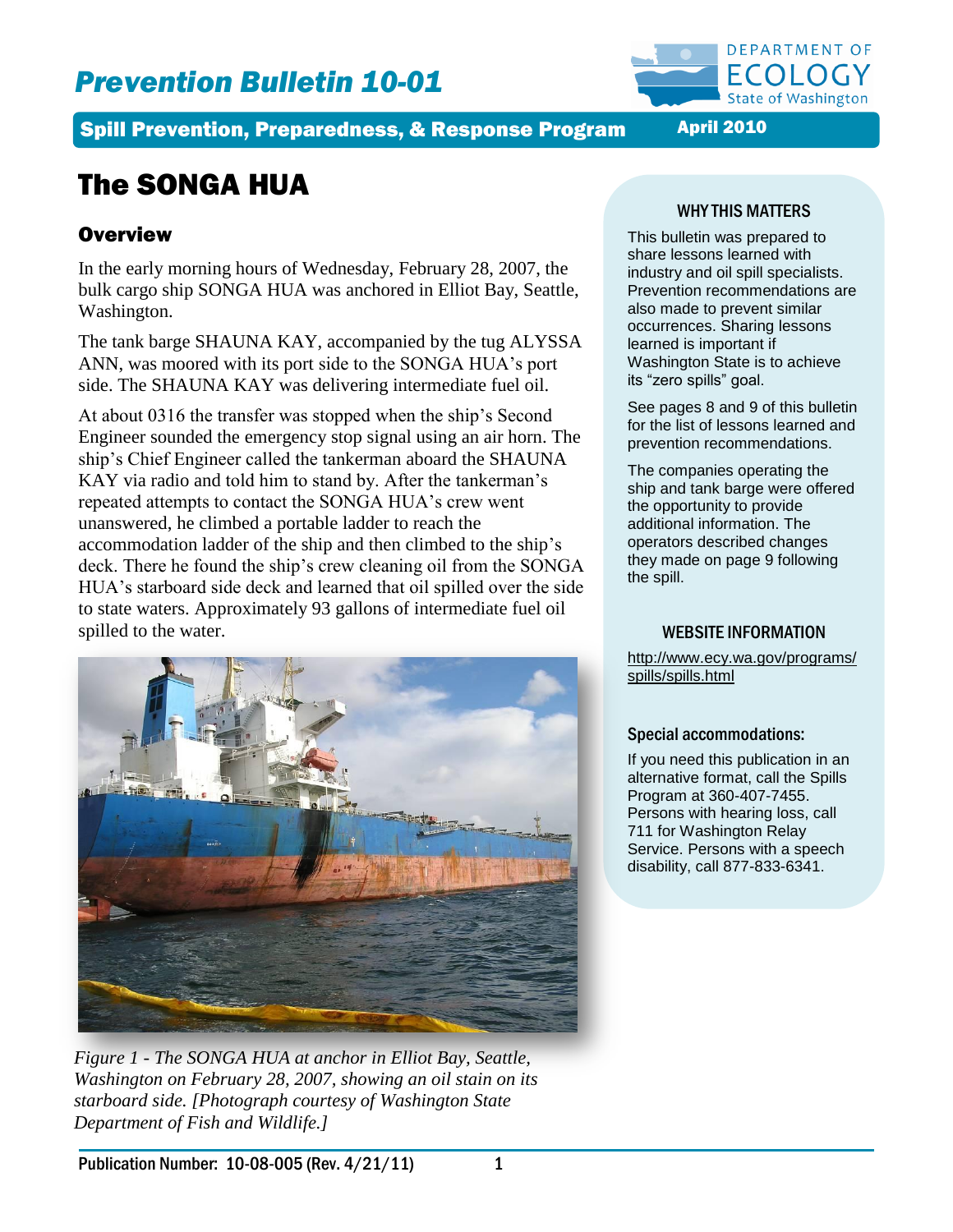# *Prevention Bulletin 10-01*



Spill Prevention, Preparedness, & Response Program April 2010

# The SONGA HUA

# **Overview**

In the early morning hours of Wednesday, February 28, 2007, the bulk cargo ship SONGA HUA was anchored in Elliot Bay, Seattle, Washington.

The tank barge SHAUNA KAY, accompanied by the tug ALYSSA ANN, was moored with its port side to the SONGA HUA's port side. The SHAUNA KAY was delivering intermediate fuel oil.

At about 0316 the transfer was stopped when the ship's Second Engineer sounded the emergency stop signal using an air horn. The ship's Chief Engineer called the tankerman aboard the SHAUNA KAY via radio and told him to stand by. After the tankerman's repeated attempts to contact the SONGA HUA's crew went unanswered, he climbed a portable ladder to reach the accommodation ladder of the ship and then climbed to the ship's deck. There he found the ship's crew cleaning oil from the SONGA HUA's starboard side deck and learned that oil spilled over the side to state waters. Approximately 93 gallons of intermediate fuel oil spilled to the water.



*Figure 1 - The SONGA HUA at anchor in Elliot Bay, Seattle, Washington on February 28, 2007, showing an oil stain on its starboard side. [Photograph courtesy of Washington State Department of Fish and Wildlife.]*

## WHY THIS MATTERS

This bulletin was prepared to share lessons learned with industry and oil spill specialists. Prevention recommendations are also made to prevent similar occurrences. Sharing lessons learned is important if Washington State is to achieve its "zero spills" goal.

See pages 8 and 9 of this bulletin for the list of lessons learned and prevention recommendations.

The companies operating the ship and tank barge were offered the opportunity to provide additional information. The operators described changes they made on page 9 following the spill.

### WEBSITE INFORMATION

[http://www.ecy.wa.gov/programs/](http://www.ecy.wa.gov/programs/spills/spills.html) [spills/spills.html](http://www.ecy.wa.gov/programs/spills/spills.html)

#### Special accommodations:

If you need this publication in an alternative format, call the Spills Program at 360-407-7455. Persons with hearing loss, call 711 for Washington Relay Service. Persons with a speech disability, call 877-833-6341.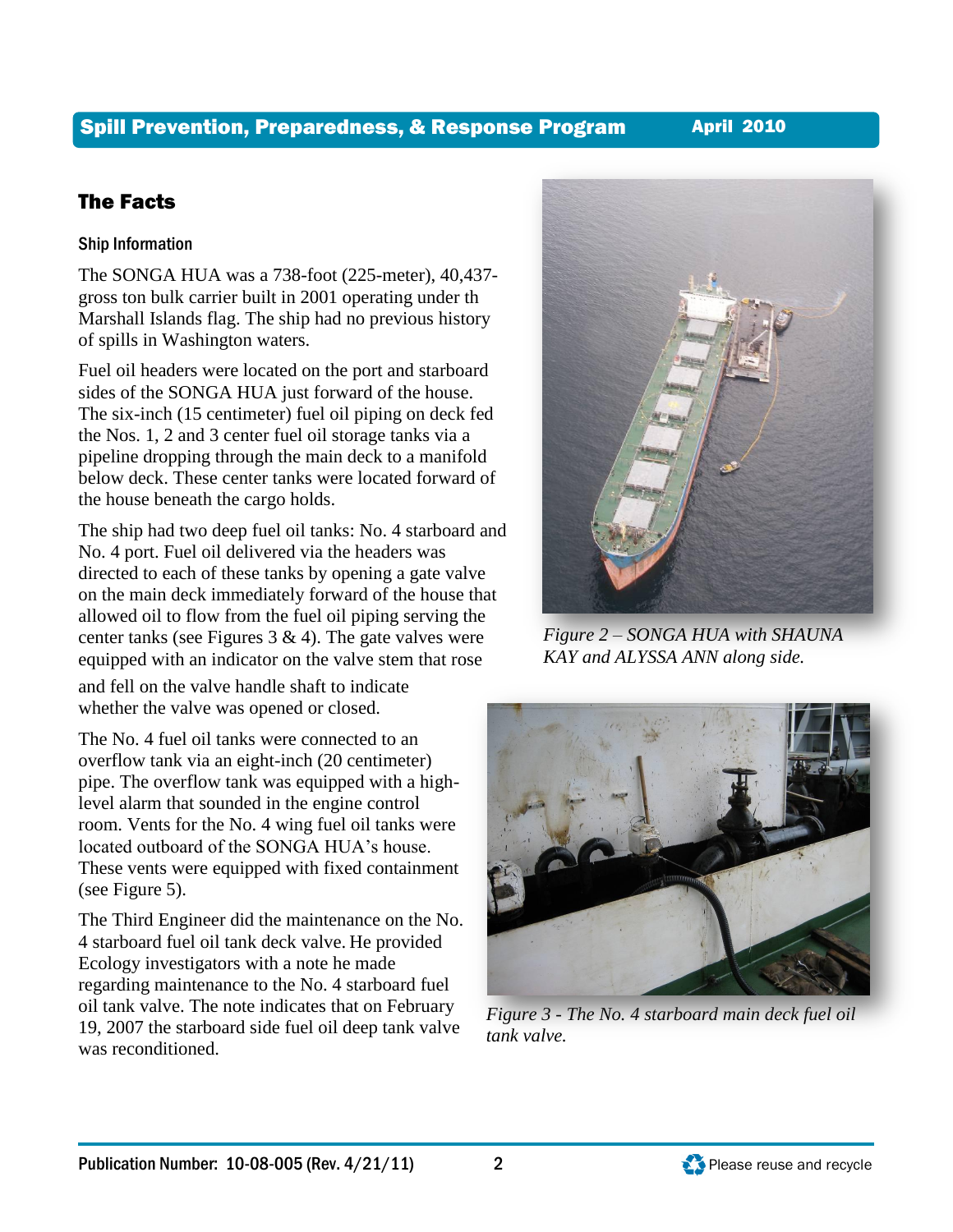# The SONGA HUA was a 738-foot (225-meter), 40,437-

gross ton bulk carrier built in 2001 operating under th Marshall Islands flag. The ship had no previous history of spills in Washington waters.

The Facts

Ship Information

Fuel oil headers were located on the port and starboard sides of the SONGA HUA just forward of the house. The six-inch (15 centimeter) fuel oil piping on deck fed the Nos. 1, 2 and 3 center fuel oil storage tanks via a pipeline dropping through the main deck to a manifold below deck. These center tanks were located forward of the house beneath the cargo holds.

The ship had two deep fuel oil tanks: No. 4 starboard and No. 4 port. Fuel oil delivered via the headers was directed to each of these tanks by opening a gate valve on the main deck immediately forward of the house that allowed oil to flow from the fuel oil piping serving the center tanks (see Figures  $3 \& 4$ ). The gate valves were equipped with an indicator on the valve stem that rose

and fell on the valve handle shaft to indicate whether the valve was opened or closed.

The No. 4 fuel oil tanks were connected to an overflow tank via an eight-inch (20 centimeter) pipe. The overflow tank was equipped with a highlevel alarm that sounded in the engine control room. Vents for the No. 4 wing fuel oil tanks were located outboard of the SONGA HUA's house. These vents were equipped with fixed containment (see Figure 5).

The Third Engineer did the maintenance on the No. 4 starboard fuel oil tank deck valve. He provided Ecology investigators with a note he made regarding maintenance to the No. 4 starboard fuel oil tank valve. The note indicates that on February 19, 2007 the starboard side fuel oil deep tank valve was reconditioned.

*KAY and ALYSSA ANN along side.*

*Figure 2 – SONGA HUA with SHAUNA* 





# Spill Prevention, Preparedness, & Response Program April 2010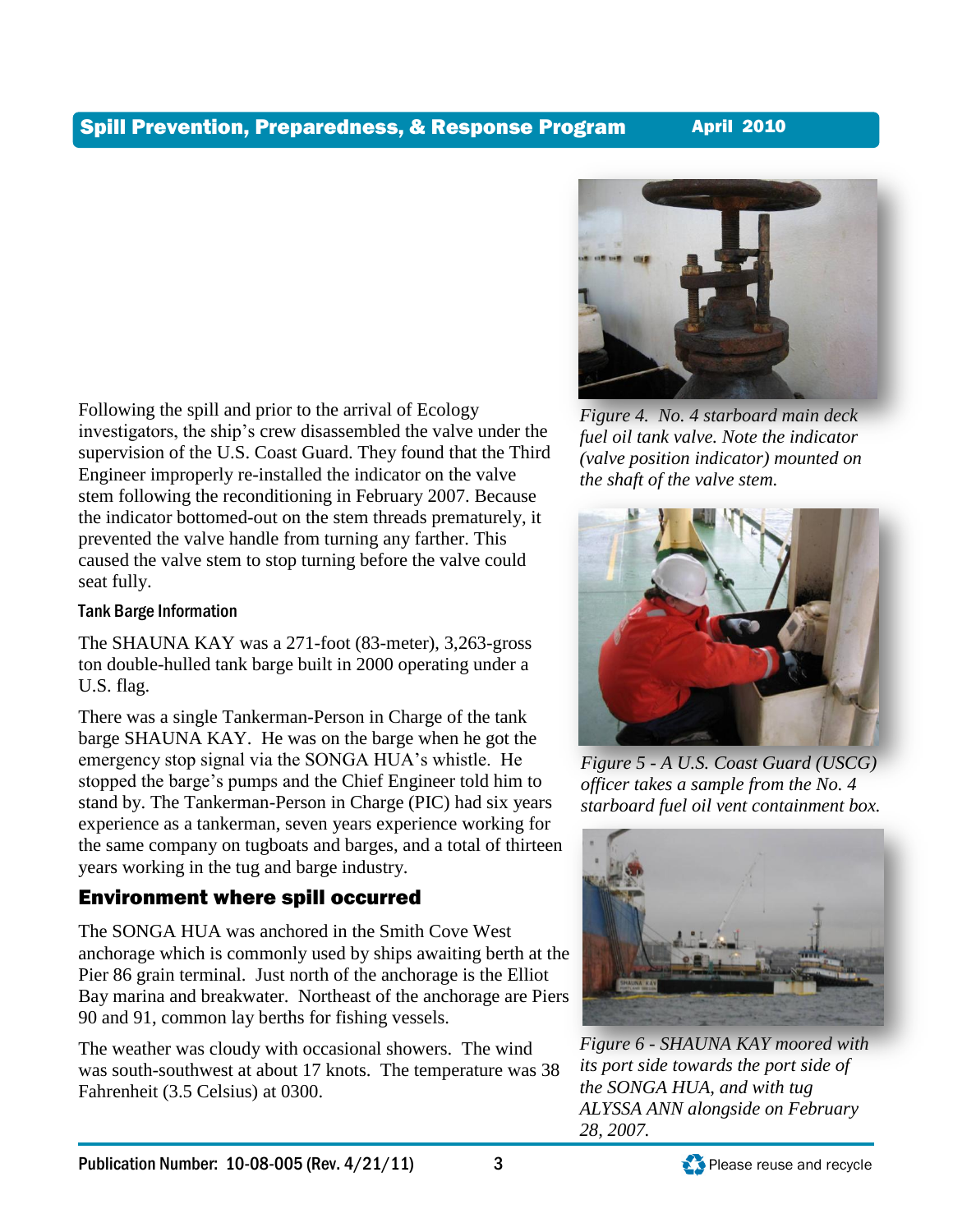

## Tank Barge Information

The SHAUNA KAY was a 271-foot (83-meter), 3,263-gross ton double-hulled tank barge built in 2000 operating under a U.S. flag.

There was a single Tankerman-Person in Charge of the tank barge SHAUNA KAY. He was on the barge when he got the emergency stop signal via the SONGA HUA's whistle. He stopped the barge's pumps and the Chief Engineer told him to stand by. The Tankerman-Person in Charge (PIC) had six years experience as a tankerman, seven years experience working for the same company on tugboats and barges, and a total of thirteen years working in the tug and barge industry.

# Environment where spill occurred

The SONGA HUA was anchored in the Smith Cove West anchorage which is commonly used by ships awaiting berth at the Pier 86 grain terminal. Just north of the anchorage is the Elliot Bay marina and breakwater. Northeast of the anchorage are Piers 90 and 91, common lay berths for fishing vessels.

The weather was cloudy with occasional showers. The wind was south-southwest at about 17 knots. The temperature was 38 Fahrenheit (3.5 Celsius) at 0300.



*Figure 4. No. 4 starboard main deck fuel oil tank valve. Note the indicator (valve position indicator) mounted on the shaft of the valve stem.*



*Figure 5 - A U.S. Coast Guard (USCG) officer takes a sample from the No. 4 starboard fuel oil vent containment box.*



*Figure 6 - SHAUNA KAY moored with its port side towards the port side of the SONGA HUA, and with tug ALYSSA ANN alongside on February 28, 2007.*

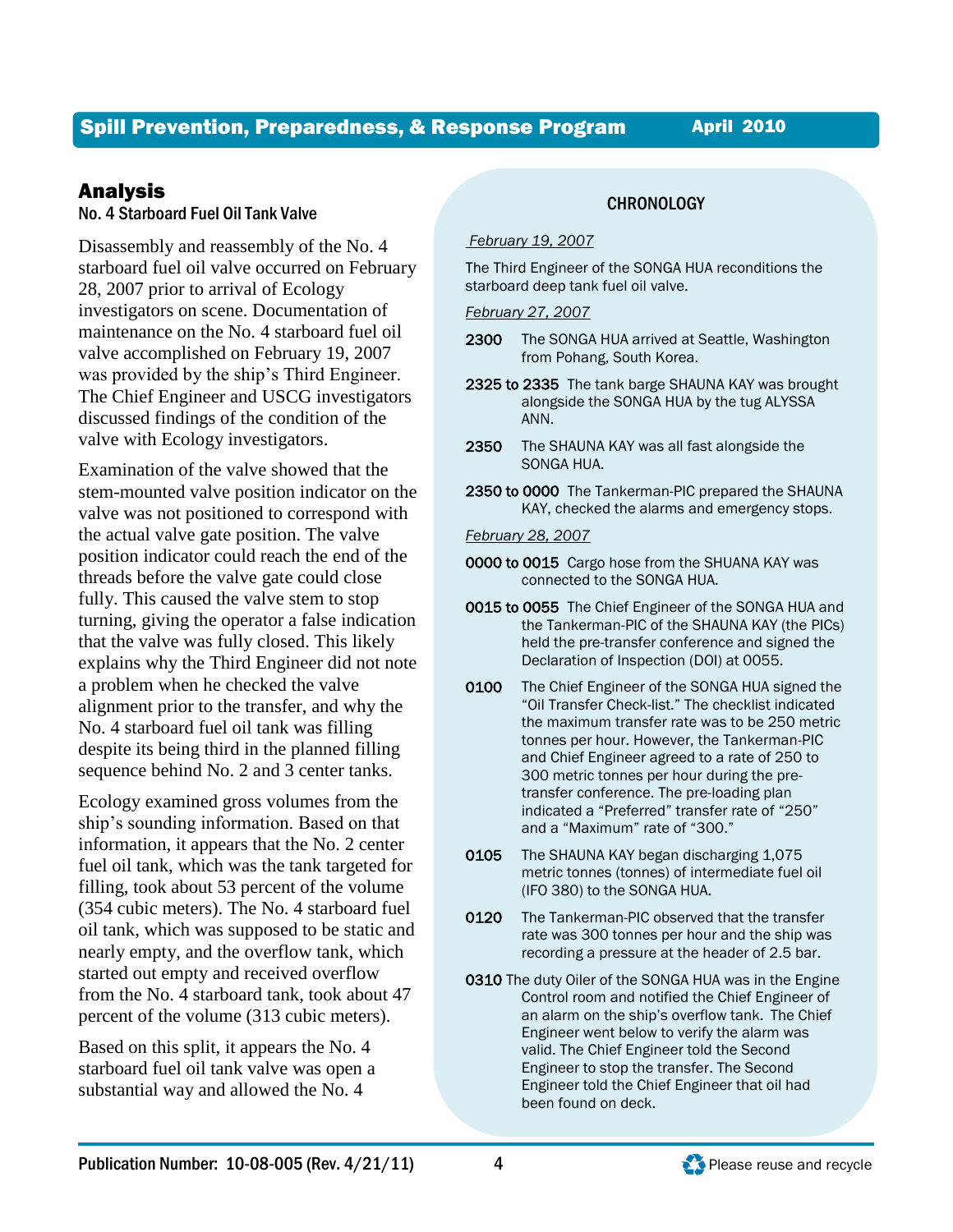# Analysis

### No. 4 Starboard Fuel Oil Tank Valve

Disassembly and reassembly of the No. 4 starboard fuel oil valve occurred on February 28, 2007 prior to arrival of Ecology investigators on scene. Documentation of maintenance on the No. 4 starboard fuel oil valve accomplished on February 19, 2007 was provided by the ship's Third Engineer. The Chief Engineer and USCG investigators discussed findings of the condition of the valve with Ecology investigators.

Examination of the valve showed that the stem-mounted valve position indicator on the valve was not positioned to correspond with the actual valve gate position. The valve position indicator could reach the end of the threads before the valve gate could close fully. This caused the valve stem to stop turning, giving the operator a false indication that the valve was fully closed. This likely explains why the Third Engineer did not note a problem when he checked the valve alignment prior to the transfer, and why the No. 4 starboard fuel oil tank was filling despite its being third in the planned filling sequence behind No. 2 and 3 center tanks.

Ecology examined gross volumes from the ship's sounding information. Based on that information, it appears that the No. 2 center fuel oil tank, which was the tank targeted for filling, took about 53 percent of the volume (354 cubic meters). The No. 4 starboard fuel oil tank, which was supposed to be static and nearly empty, and the overflow tank, which started out empty and received overflow from the No. 4 starboard tank, took about 47 percent of the volume (313 cubic meters).

Based on this split, it appears the No. 4 starboard fuel oil tank valve was open a substantial way and allowed the No. 4

### **CHRONOLOGY**

#### *February 19, 2007*

The Third Engineer of the SONGA HUA reconditions the starboard deep tank fuel oil valve.

#### *February 27, 2007*

- 2300 The SONGA HUA arrived at Seattle, Washington from Pohang, South Korea.
- 2325 to 2335 The tank barge SHAUNA KAY was brought alongside the SONGA HUA by the tug ALYSSA ANN.
- 2350 The SHAUNA KAY was all fast alongside the SONGA HUA.
- 2350 to 0000 The Tankerman-PIC prepared the SHAUNA KAY, checked the alarms and emergency stops.

#### *February 28, 2007*

- 0000 to 0015 Cargo hose from the SHUANA KAY was connected to the SONGA HUA.
- 0015 to 0055 The Chief Engineer of the SONGA HUA and the Tankerman-PIC of the SHAUNA KAY (the PICs) held the pre-transfer conference and signed the Declaration of Inspection (DOI) at 0055.
- 0100 The Chief Engineer of the SONGA HUA signed the "Oil Transfer Check-list." The checklist indicated the maximum transfer rate was to be 250 metric tonnes per hour. However, the Tankerman-PIC and Chief Engineer agreed to a rate of 250 to 300 metric tonnes per hour during the pretransfer conference. The pre-loading plan indicated a "Preferred" transfer rate of "250" and a "Maximum" rate of "300."
- 0105 The SHAUNA KAY began discharging 1,075 metric tonnes (tonnes) of intermediate fuel oil (IFO 380) to the SONGA HUA.
- 0120 The Tankerman-PIC observed that the transfer rate was 300 tonnes per hour and the ship was recording a pressure at the header of 2.5 bar.
- 0310 The duty Oiler of the SONGA HUA was in the Engine Control room and notified the Chief Engineer of an alarm on the ship's overflow tank. The Chief Engineer went below to verify the alarm was valid. The Chief Engineer told the Second Engineer to stop the transfer. The Second Engineer told the Chief Engineer that oil had been found on deck.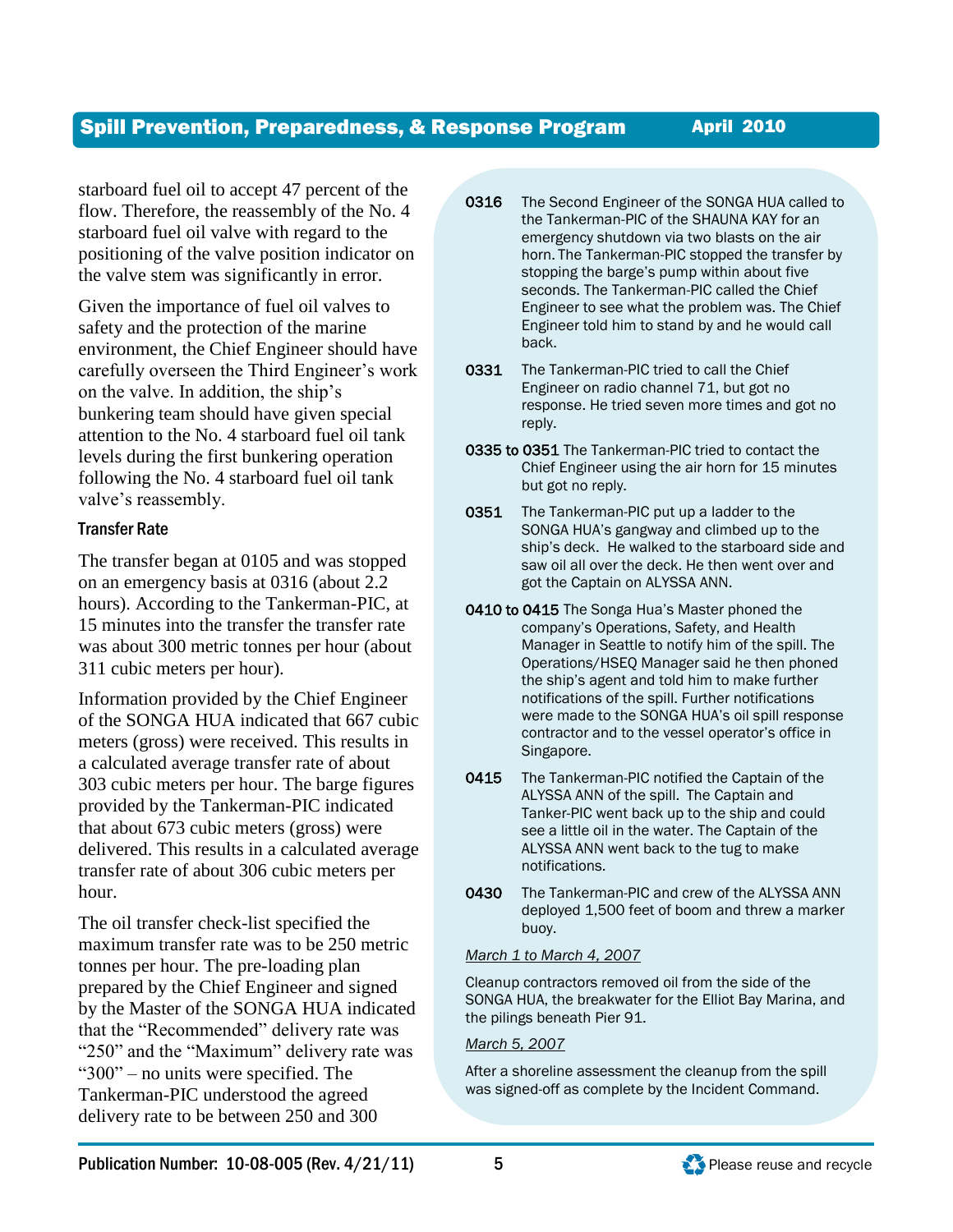starboard fuel oil to accept 47 percent of the flow. Therefore, the reassembly of the No. 4 starboard fuel oil valve with regard to the positioning of the valve position indicator on the valve stem was significantly in error.

Given the importance of fuel oil valves to safety and the protection of the marine environment, the Chief Engineer should have carefully overseen the Third Engineer's work on the valve. In addition, the ship's bunkering team should have given special attention to the No. 4 starboard fuel oil tank levels during the first bunkering operation following the No. 4 starboard fuel oil tank valve's reassembly.

## Transfer Rate

The transfer began at 0105 and was stopped on an emergency basis at 0316 (about 2.2 hours). According to the Tankerman-PIC, at 15 minutes into the transfer the transfer rate was about 300 metric tonnes per hour (about 311 cubic meters per hour).

Information provided by the Chief Engineer of the SONGA HUA indicated that 667 cubic meters (gross) were received. This results in a calculated average transfer rate of about 303 cubic meters per hour. The barge figures provided by the Tankerman-PIC indicated that about 673 cubic meters (gross) were delivered. This results in a calculated average transfer rate of about 306 cubic meters per hour.

The oil transfer check-list specified the maximum transfer rate was to be 250 metric tonnes per hour. The pre-loading plan prepared by the Chief Engineer and signed by the Master of the SONGA HUA indicated that the "Recommended" delivery rate was "250" and the "Maximum" delivery rate was "300" – no units were specified. The Tankerman-PIC understood the agreed delivery rate to be between 250 and 300

- 0316 The Second Engineer of the SONGA HUA called to the Tankerman-PIC of the SHAUNA KAY for an emergency shutdown via two blasts on the air horn. The Tankerman-PIC stopped the transfer by stopping the barge's pump within about five seconds. The Tankerman-PIC called the Chief Engineer to see what the problem was. The Chief Engineer told him to stand by and he would call back.
- 0331 The Tankerman-PIC tried to call the Chief Engineer on radio channel 71, but got no response. He tried seven more times and got no reply.
- 0335 to 0351 The Tankerman-PIC tried to contact the Chief Engineer using the air horn for 15 minutes but got no reply.
- 0351 The Tankerman-PIC put up a ladder to the SONGA HUA's gangway and climbed up to the ship's deck. He walked to the starboard side and saw oil all over the deck. He then went over and got the Captain on ALYSSA ANN.
- 0410 to 0415 The Songa Hua's Master phoned the company's Operations, Safety, and Health Manager in Seattle to notify him of the spill. The Operations/HSEQ Manager said he then phoned the ship's agent and told him to make further notifications of the spill. Further notifications were made to the SONGA HUA's oil spill response contractor and to the vessel operator's office in Singapore.
- 0415 The Tankerman-PIC notified the Captain of the ALYSSA ANN of the spill. The Captain and Tanker-PIC went back up to the ship and could see a little oil in the water. The Captain of the ALYSSA ANN went back to the tug to make notifications.
- 0430 The Tankerman-PIC and crew of the ALYSSA ANN deployed 1,500 feet of boom and threw a marker buoy.

#### *March 1 to March 4, 2007*

Cleanup contractors removed oil from the side of the SONGA HUA, the breakwater for the Elliot Bay Marina, and the pilings beneath Pier 91.

#### *March 5, 2007*

After a shoreline assessment the cleanup from the spill was signed-off as complete by the Incident Command.



L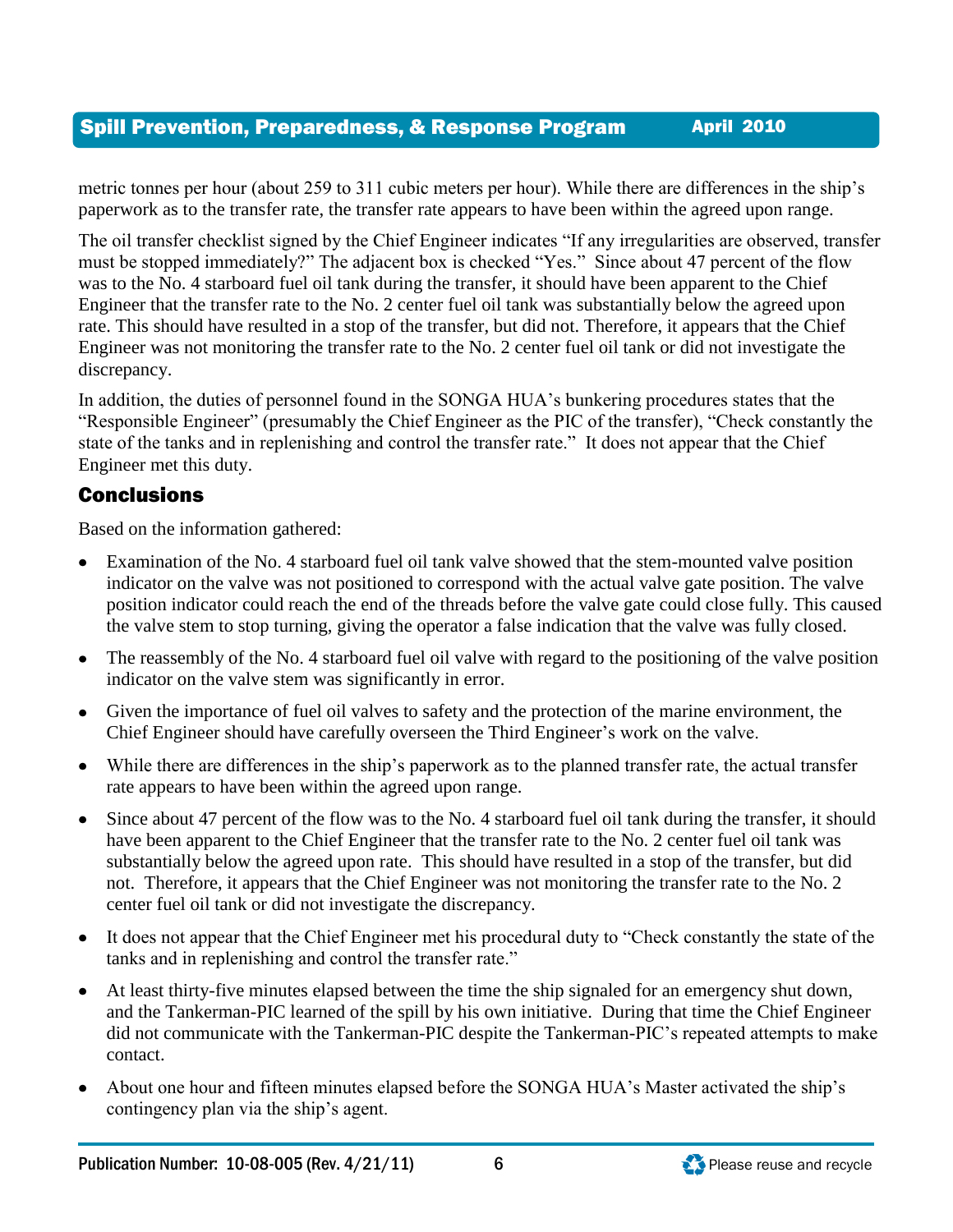metric tonnes per hour (about 259 to 311 cubic meters per hour). While there are differences in the ship's paperwork as to the transfer rate, the transfer rate appears to have been within the agreed upon range.

The oil transfer checklist signed by the Chief Engineer indicates "If any irregularities are observed, transfer must be stopped immediately?" The adjacent box is checked "Yes." Since about 47 percent of the flow was to the No. 4 starboard fuel oil tank during the transfer, it should have been apparent to the Chief Engineer that the transfer rate to the No. 2 center fuel oil tank was substantially below the agreed upon rate. This should have resulted in a stop of the transfer, but did not. Therefore, it appears that the Chief Engineer was not monitoring the transfer rate to the No. 2 center fuel oil tank or did not investigate the discrepancy.

In addition, the duties of personnel found in the SONGA HUA's bunkering procedures states that the "Responsible Engineer" (presumably the Chief Engineer as the PIC of the transfer), "Check constantly the state of the tanks and in replenishing and control the transfer rate." It does not appear that the Chief Engineer met this duty.

# Conclusions

Based on the information gathered:

- Examination of the No. 4 starboard fuel oil tank valve showed that the stem-mounted valve position indicator on the valve was not positioned to correspond with the actual valve gate position. The valve position indicator could reach the end of the threads before the valve gate could close fully. This caused the valve stem to stop turning, giving the operator a false indication that the valve was fully closed.
- The reassembly of the No. 4 starboard fuel oil valve with regard to the positioning of the valve position indicator on the valve stem was significantly in error.
- Given the importance of fuel oil valves to safety and the protection of the marine environment, the Chief Engineer should have carefully overseen the Third Engineer's work on the valve.
- While there are differences in the ship's paperwork as to the planned transfer rate, the actual transfer rate appears to have been within the agreed upon range.
- Since about 47 percent of the flow was to the No. 4 starboard fuel oil tank during the transfer, it should have been apparent to the Chief Engineer that the transfer rate to the No. 2 center fuel oil tank was substantially below the agreed upon rate. This should have resulted in a stop of the transfer, but did not. Therefore, it appears that the Chief Engineer was not monitoring the transfer rate to the No. 2 center fuel oil tank or did not investigate the discrepancy.
- It does not appear that the Chief Engineer met his procedural duty to "Check constantly the state of the tanks and in replenishing and control the transfer rate."
- At least thirty-five minutes elapsed between the time the ship signaled for an emergency shut down, and the Tankerman-PIC learned of the spill by his own initiative. During that time the Chief Engineer did not communicate with the Tankerman-PIC despite the Tankerman-PIC's repeated attempts to make contact.
- About one hour and fifteen minutes elapsed before the SONGA HUA's Master activated the ship's contingency plan via the ship's agent.

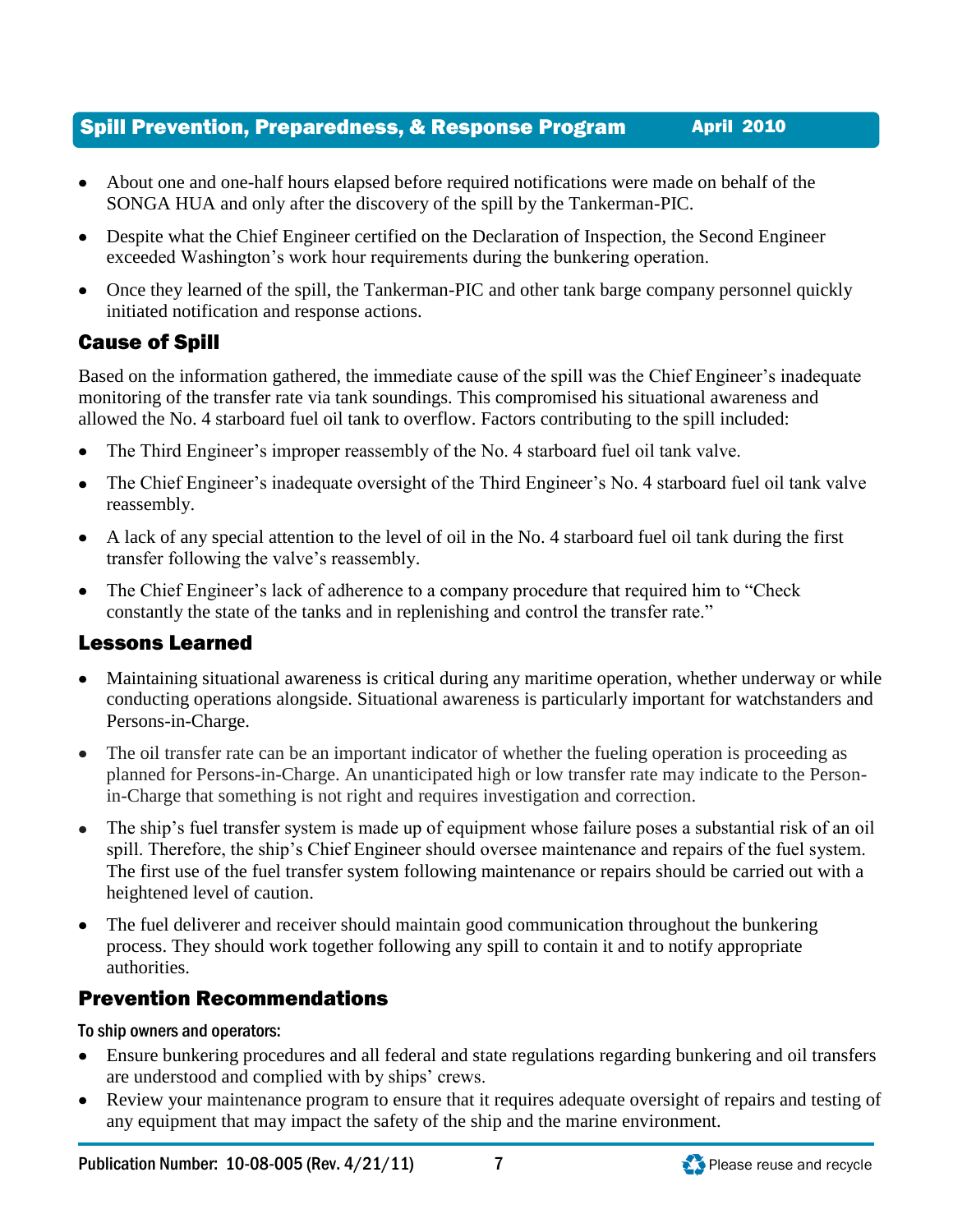- About one and one-half hours elapsed before required notifications were made on behalf of the SONGA HUA and only after the discovery of the spill by the Tankerman-PIC.
- Despite what the Chief Engineer certified on the Declaration of Inspection, the Second Engineer exceeded Washington's work hour requirements during the bunkering operation.
- Once they learned of the spill, the Tankerman-PIC and other tank barge company personnel quickly initiated notification and response actions.

# Cause of Spill

Based on the information gathered, the immediate cause of the spill was the Chief Engineer's inadequate monitoring of the transfer rate via tank soundings. This compromised his situational awareness and allowed the No. 4 starboard fuel oil tank to overflow. Factors contributing to the spill included:

- The Third Engineer's improper reassembly of the No. 4 starboard fuel oil tank valve.  $\bullet$
- The Chief Engineer's inadequate oversight of the Third Engineer's No. 4 starboard fuel oil tank valve  $\bullet$ reassembly.
- A lack of any special attention to the level of oil in the No. 4 starboard fuel oil tank during the first transfer following the valve's reassembly.
- The Chief Engineer's lack of adherence to a company procedure that required him to "Check" constantly the state of the tanks and in replenishing and control the transfer rate."

# Lessons Learned

- Maintaining situational awareness is critical during any maritime operation, whether underway or while conducting operations alongside. Situational awareness is particularly important for watchstanders and Persons-in-Charge.
- The oil transfer rate can be an important indicator of whether the fueling operation is proceeding as  $\bullet$ planned for Persons-in-Charge. An unanticipated high or low transfer rate may indicate to the Personin-Charge that something is not right and requires investigation and correction.
- The ship's fuel transfer system is made up of equipment whose failure poses a substantial risk of an oil  $\bullet$ spill. Therefore, the ship's Chief Engineer should oversee maintenance and repairs of the fuel system. The first use of the fuel transfer system following maintenance or repairs should be carried out with a heightened level of caution.
- The fuel deliverer and receiver should maintain good communication throughout the bunkering  $\bullet$ process. They should work together following any spill to contain it and to notify appropriate authorities.

# Prevention Recommendations

To ship owners and operators:

- Ensure bunkering procedures and all federal and state regulations regarding bunkering and oil transfers are understood and complied with by ships' crews.
- Review your maintenance program to ensure that it requires adequate oversight of repairs and testing of any equipment that may impact the safety of the ship and the marine environment.